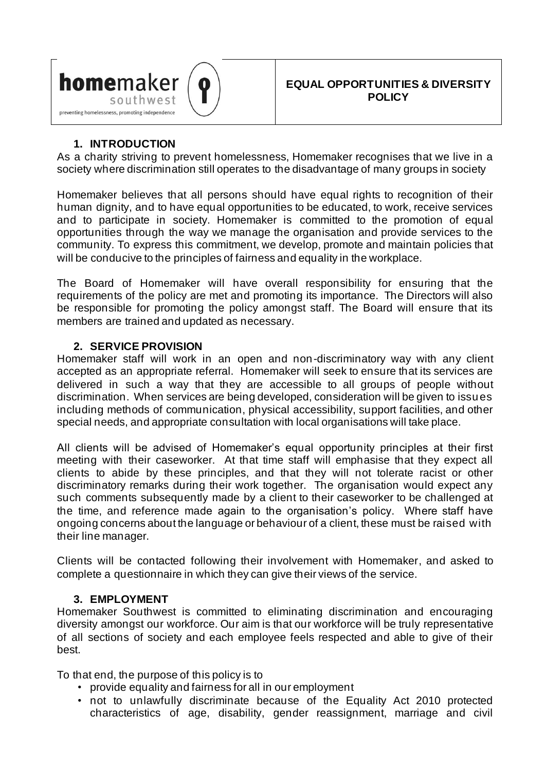

## **1. INTRODUCTION**

As a charity striving to prevent homelessness, Homemaker recognises that we live in a society where discrimination still operates to the disadvantage of many groups in society

Homemaker believes that all persons should have equal rights to recognition of their human dignity, and to have equal opportunities to be educated, to work, receive services and to participate in society. Homemaker is committed to the promotion of equal opportunities through the way we manage the organisation and provide services to the community. To express this commitment, we develop, promote and maintain policies that will be conducive to the principles of fairness and equality in the workplace.

The Board of Homemaker will have overall responsibility for ensuring that the requirements of the policy are met and promoting its importance. The Directors will also be responsible for promoting the policy amongst staff. The Board will ensure that its members are trained and updated as necessary.

### **2. SERVICE PROVISION**

Homemaker staff will work in an open and non-discriminatory way with any client accepted as an appropriate referral. Homemaker will seek to ensure that its services are delivered in such a way that they are accessible to all groups of people without discrimination. When services are being developed, consideration will be given to issues including methods of communication, physical accessibility, support facilities, and other special needs, and appropriate consultation with local organisations will take place.

All clients will be advised of Homemaker's equal opportunity principles at their first meeting with their caseworker. At that time staff will emphasise that they expect all clients to abide by these principles, and that they will not tolerate racist or other discriminatory remarks during their work together. The organisation would expect any such comments subsequently made by a client to their caseworker to be challenged at the time, and reference made again to the organisation's policy. Where staff have ongoing concerns about the language or behaviour of a client, these must be raised with their line manager.

Clients will be contacted following their involvement with Homemaker, and asked to complete a questionnaire in which they can give their views of the service.

### **3. EMPLOYMENT**

Homemaker Southwest is committed to eliminating discrimination and encouraging diversity amongst our workforce. Our aim is that our workforce will be truly representative of all sections of society and each employee feels respected and able to give of their best.

To that end, the purpose of this policy is to

- provide equality and fairness for all in our employment
- not to unlawfully discriminate because of the Equality Act 2010 protected characteristics of age, disability, gender reassignment, marriage and civil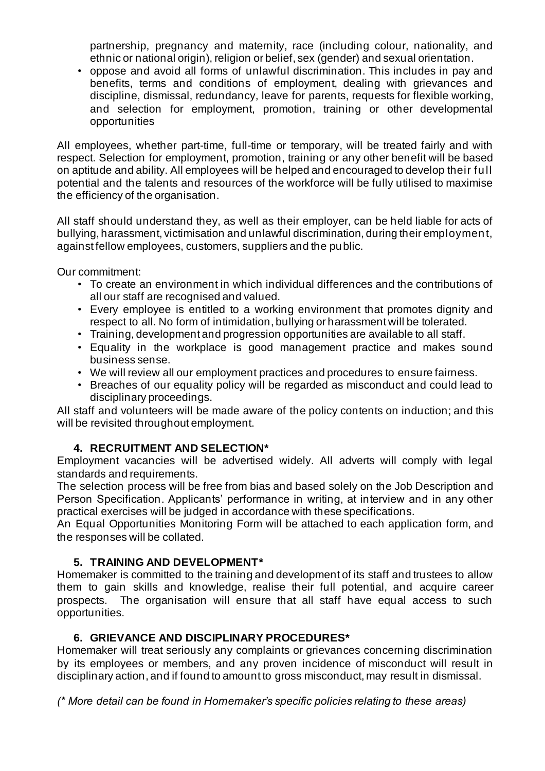partnership, pregnancy and maternity, race (including colour, nationality, and ethnic or national origin), religion or belief, sex (gender) and sexual orientation.

• oppose and avoid all forms of unlawful discrimination. This includes in pay and benefits, terms and conditions of employment, dealing with grievances and discipline, dismissal, redundancy, leave for parents, requests for flexible working, and selection for employment, promotion, training or other developmental opportunities

All employees, whether part-time, full-time or temporary, will be treated fairly and with respect. Selection for employment, promotion, training or any other benefit will be based on aptitude and ability. All employees will be helped and encouraged to develop their full potential and the talents and resources of the workforce will be fully utilised to maximise the efficiency of the organisation.

All staff should understand they, as well as their employer, can be held liable for acts of bullying, harassment, victimisation and unlawful discrimination, during their employment, against fellow employees, customers, suppliers and the public.

Our commitment:

- To create an environment in which individual differences and the contributions of all our staff are recognised and valued.
- Every employee is entitled to a working environment that promotes dignity and respect to all. No form of intimidation, bullying or harassment will be tolerated.
- Training, development and progression opportunities are available to all staff.
- Equality in the workplace is good management practice and makes sound business sense.
- We will review all our employment practices and procedures to ensure fairness.
- Breaches of our equality policy will be regarded as misconduct and could lead to disciplinary proceedings.

All staff and volunteers will be made aware of the policy contents on induction; and this will be revisited throughout employment.

### **4. RECRUITMENT AND SELECTION\***

Employment vacancies will be advertised widely. All adverts will comply with legal standards and requirements.

The selection process will be free from bias and based solely on the Job Description and Person Specification. Applicants' performance in writing, at interview and in any other practical exercises will be judged in accordance with these specifications.

An Equal Opportunities Monitoring Form will be attached to each application form, and the responses will be collated.

### **5. TRAINING AND DEVELOPMENT\***

Homemaker is committed to the training and development of its staff and trustees to allow them to gain skills and knowledge, realise their full potential, and acquire career prospects. The organisation will ensure that all staff have equal access to such opportunities.

### **6. GRIEVANCE AND DISCIPLINARY PROCEDURES\***

Homemaker will treat seriously any complaints or grievances concerning discrimination by its employees or members, and any proven incidence of misconduct will result in disciplinary action, and if found to amount to gross misconduct, may result in dismissal.

*(\* More detail can be found in Homemaker's specific policies relating to these areas)*